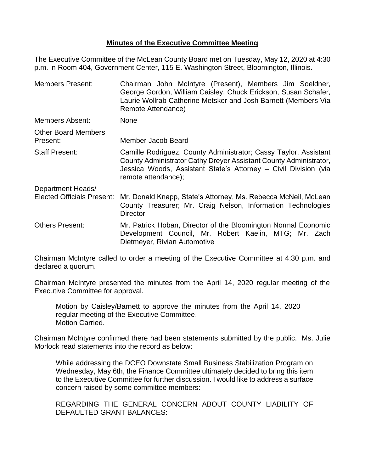## **Minutes of the Executive Committee Meeting**

The Executive Committee of the McLean County Board met on Tuesday, May 12, 2020 at 4:30 p.m. in Room 404, Government Center, 115 E. Washington Street, Bloomington, Illinois.

| <b>Members Present:</b>                | Chairman John McIntyre (Present), Members Jim Soeldner,<br>George Gordon, William Caisley, Chuck Erickson, Susan Schafer,<br>Laurie Wollrab Catherine Metsker and Josh Barnett (Members Via<br>Remote Attendance)               |  |  |
|----------------------------------------|---------------------------------------------------------------------------------------------------------------------------------------------------------------------------------------------------------------------------------|--|--|
| Members Absent:                        | <b>None</b>                                                                                                                                                                                                                     |  |  |
| <b>Other Board Members</b><br>Present: | Member Jacob Beard                                                                                                                                                                                                              |  |  |
| <b>Staff Present:</b>                  | Camille Rodriguez, County Administrator; Cassy Taylor, Assistant<br>County Administrator Cathy Dreyer Assistant County Administrator,<br>Jessica Woods, Assistant State's Attorney - Civil Division (via<br>remote attendance); |  |  |
| Department Heads/                      |                                                                                                                                                                                                                                 |  |  |
| <b>Elected Officials Present:</b>      | Mr. Donald Knapp, State's Attorney, Ms. Rebecca McNeil, McLean<br>County Treasurer; Mr. Craig Nelson, Information Technologies<br><b>Director</b>                                                                               |  |  |
| <b>Others Present:</b>                 | Mr. Patrick Hoban, Director of the Bloomington Normal Economic<br>Development Council, Mr. Robert Kaelin, MTG; Mr. Zach<br>Dietmeyer, Rivian Automotive                                                                         |  |  |

Chairman McIntyre called to order a meeting of the Executive Committee at 4:30 p.m. and declared a quorum.

Chairman McIntyre presented the minutes from the April 14, 2020 regular meeting of the Executive Committee for approval.

Motion by Caisley/Barnett to approve the minutes from the April 14, 2020 regular meeting of the Executive Committee. Motion Carried.

Chairman McIntyre confirmed there had been statements submitted by the public. Ms. Julie Morlock read statements into the record as below:

While addressing the DCEO Downstate Small Business Stabilization Program on Wednesday, May 6th, the Finance Committee ultimately decided to bring this item to the Executive Committee for further discussion. I would like to address a surface concern raised by some committee members:

REGARDING THE GENERAL CONCERN ABOUT COUNTY LIABILITY OF DEFAULTED GRANT BALANCES: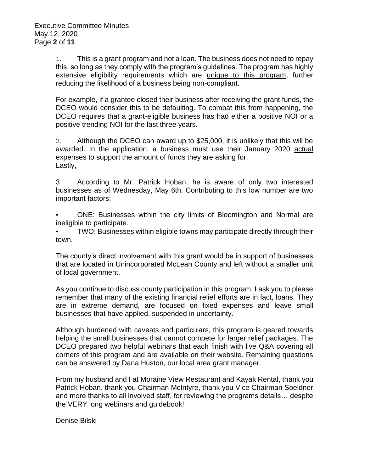1. This is a grant program and not a loan. The business does not need to repay this, so long as they comply with the program's guidelines. The program has highly extensive eligibility requirements which are unique to this program, further reducing the likelihood of a business being non-compliant.

For example, if a grantee closed their business after receiving the grant funds, the DCEO would consider this to be defaulting. To combat this from happening, the DCEO requires that a grant-eligible business has had either a positive NOI or a positive trending NOI for the last three years.

2. Although the DCEO can award up to \$25,000, it is unlikely that this will be awarded. In the application, a business must use their January 2020 actual expenses to support the amount of funds they are asking for. Lastly,

3 According to Mr. Patrick Hoban, he is aware of only two interested businesses as of Wednesday, May 6th. Contributing to this low number are two important factors:

ONE: Businesses within the city limits of Bloomington and Normal are ineligible to participate.

TWO: Businesses within eligible towns may participate directly through their town.

The county's direct involvement with this grant would be in support of businesses that are located in Unincorporated McLean County and left without a smaller unit of local government.

As you continue to discuss county participation in this program, I ask you to please remember that many of the existing financial relief efforts are in fact, loans. They are in extreme demand, are focused on fixed expenses and leave small businesses that have applied, suspended in uncertainty.

Although burdened with caveats and particulars, this program is geared towards helping the small businesses that cannot compete for larger relief packages. The DCEO prepared two helpful webinars that each finish with live Q&A covering all corners of this program and are available on their website. Remaining questions can be answered by Dana Huston, our local area grant manager.

From my husband and I at Moraine View Restaurant and Kayak Rental, thank you Patrick Hoban, thank you Chairman McIntyre, thank you Vice Chairman Soeldner and more thanks to all involved staff, for reviewing the programs details… despite the VERY long webinars and guidebook!

Denise Bilski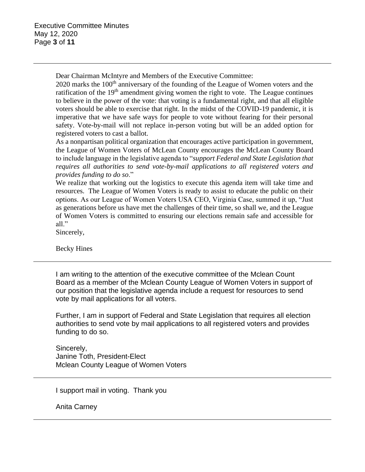Dear Chairman McIntyre and Members of the Executive Committee:

 $2020$  marks the  $100<sup>th</sup>$  anniversary of the founding of the League of Women voters and the ratification of the  $19<sup>th</sup>$  amendment giving women the right to vote. The League continues to believe in the power of the vote: that voting is a fundamental right, and that all eligible voters should be able to exercise that right. In the midst of the COVID-19 pandemic, it is imperative that we have safe ways for people to vote without fearing for their personal safety. Vote-by-mail will not replace in-person voting but will be an added option for registered voters to cast a ballot.

As a nonpartisan political organization that encourages active participation in government, the League of Women Voters of McLean County encourages the McLean County Board to include language in the legislative agenda to "*support Federal and State Legislation that requires all authorities to send vote-by-mail applications to all registered voters and provides funding to do so*."

We realize that working out the logistics to execute this agenda item will take time and resources. The League of Women Voters is ready to assist to educate the public on their options. As our League of Women Voters USA CEO, Virginia Case, summed it up, "Just as generations before us have met the challenges of their time, so shall we, and the League of Women Voters is committed to ensuring our elections remain safe and accessible for all."

Sincerely,

Becky Hines

I am writing to the attention of the executive committee of the Mclean Count Board as a member of the Mclean County League of Women Voters in support of our position that the legislative agenda include a request for resources to send vote by mail applications for all voters.

Further, I am in support of Federal and State Legislation that requires all election authorities to send vote by mail applications to all registered voters and provides funding to do so.

Sincerely, Janine Toth, President-Elect Mclean County League of Women Voters

I support mail in voting. Thank you

Anita Carney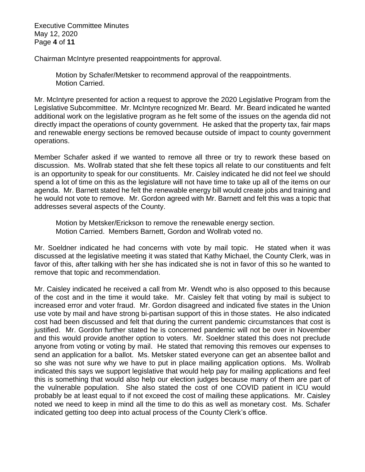Executive Committee Minutes May 12, 2020 Page **4** of **11**

Chairman McIntyre presented reappointments for approval.

Motion by Schafer/Metsker to recommend approval of the reappointments. Motion Carried.

Mr. McIntyre presented for action a request to approve the 2020 Legislative Program from the Legislative Subcommittee. Mr. McIntyre recognized Mr. Beard. Mr. Beard indicated he wanted additional work on the legislative program as he felt some of the issues on the agenda did not directly impact the operations of county government. He asked that the property tax, fair maps and renewable energy sections be removed because outside of impact to county government operations.

Member Schafer asked if we wanted to remove all three or try to rework these based on discussion. Ms. Wollrab stated that she felt these topics all relate to our constituents and felt is an opportunity to speak for our constituents. Mr. Caisley indicated he did not feel we should spend a lot of time on this as the legislature will not have time to take up all of the items on our agenda. Mr. Barnett stated he felt the renewable energy bill would create jobs and training and he would not vote to remove. Mr. Gordon agreed with Mr. Barnett and felt this was a topic that addresses several aspects of the County.

Motion by Metsker/Erickson to remove the renewable energy section. Motion Carried. Members Barnett, Gordon and Wollrab voted no.

Mr. Soeldner indicated he had concerns with vote by mail topic. He stated when it was discussed at the legislative meeting it was stated that Kathy Michael, the County Clerk, was in favor of this, after talking with her she has indicated she is not in favor of this so he wanted to remove that topic and recommendation.

Mr. Caisley indicated he received a call from Mr. Wendt who is also opposed to this because of the cost and in the time it would take. Mr. Caisley felt that voting by mail is subject to increased error and voter fraud. Mr. Gordon disagreed and indicated five states in the Union use vote by mail and have strong bi-partisan support of this in those states. He also indicated cost had been discussed and felt that during the current pandemic circumstances that cost is justified. Mr. Gordon further stated he is concerned pandemic will not be over in November and this would provide another option to voters. Mr. Soeldner stated this does not preclude anyone from voting or voting by mail. He stated that removing this removes our expenses to send an application for a ballot. Ms. Metsker stated everyone can get an absentee ballot and so she was not sure why we have to put in place mailing application options. Ms. Wollrab indicated this says we support legislative that would help pay for mailing applications and feel this is something that would also help our election judges because many of them are part of the vulnerable population. She also stated the cost of one COVID patient in ICU would probably be at least equal to if not exceed the cost of mailing these applications. Mr. Caisley noted we need to keep in mind all the time to do this as well as monetary cost. Ms. Schafer indicated getting too deep into actual process of the County Clerk's office.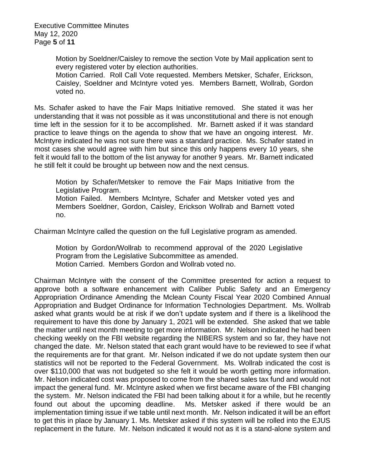Executive Committee Minutes May 12, 2020 Page **5** of **11**

> Motion by Soeldner/Caisley to remove the section Vote by Mail application sent to every registered voter by election authorities.

> Motion Carried. Roll Call Vote requested. Members Metsker, Schafer, Erickson, Caisley, Soeldner and McIntyre voted yes. Members Barnett, Wollrab, Gordon voted no.

Ms. Schafer asked to have the Fair Maps Initiative removed. She stated it was her understanding that it was not possible as it was unconstitutional and there is not enough time left in the session for it to be accomplished. Mr. Barnett asked if it was standard practice to leave things on the agenda to show that we have an ongoing interest. Mr. McIntyre indicated he was not sure there was a standard practice. Ms. Schafer stated in most cases she would agree with him but since this only happens every 10 years, she felt it would fall to the bottom of the list anyway for another 9 years. Mr. Barnett indicated he still felt it could be brought up between now and the next census.

Motion by Schafer/Metsker to remove the Fair Maps Initiative from the Legislative Program. Motion Failed. Members McIntyre, Schafer and Metsker voted yes and Members Soeldner, Gordon, Caisley, Erickson Wollrab and Barnett voted no.

Chairman McIntyre called the question on the full Legislative program as amended.

Motion by Gordon/Wollrab to recommend approval of the 2020 Legislative Program from the Legislative Subcommittee as amended. Motion Carried. Members Gordon and Wollrab voted no.

Chairman McIntyre with the consent of the Committee presented for action a request to approve both a software enhancement with Caliber Public Safety and an Emergency Appropriation Ordinance Amending the Mclean County Fiscal Year 2020 Combined Annual Appropriation and Budget Ordinance for Information Technologies Department. Ms. Wollrab asked what grants would be at risk if we don't update system and if there is a likelihood the requirement to have this done by January 1, 2021 will be extended. She asked that we table the matter until next month meeting to get more information. Mr. Nelson indicated he had been checking weekly on the FBI website regarding the NIBERS system and so far, they have not changed the date. Mr. Nelson stated that each grant would have to be reviewed to see if what the requirements are for that grant. Mr. Nelson indicated if we do not update system then our statistics will not be reported to the Federal Government. Ms. Wollrab indicated the cost is over \$110,000 that was not budgeted so she felt it would be worth getting more information. Mr. Nelson indicated cost was proposed to come from the shared sales tax fund and would not impact the general fund. Mr. McIntyre asked when we first became aware of the FBI changing the system. Mr. Nelson indicated the FBI had been talking about it for a while, but he recently found out about the upcoming deadline. Ms. Metsker asked if there would be an implementation timing issue if we table until next month. Mr. Nelson indicated it will be an effort to get this in place by January 1. Ms. Metsker asked if this system will be rolled into the EJUS replacement in the future. Mr. Nelson indicated it would not as it is a stand-alone system and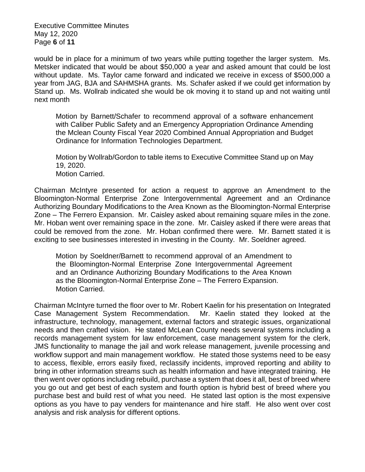Executive Committee Minutes May 12, 2020 Page **6** of **11**

would be in place for a minimum of two years while putting together the larger system. Ms. Metsker indicated that would be about \$50,000 a year and asked amount that could be lost without update. Ms. Taylor came forward and indicated we receive in excess of \$500,000 a year from JAG, BJA and SAHMSHA grants. Ms. Schafer asked if we could get information by Stand up. Ms. Wollrab indicated she would be ok moving it to stand up and not waiting until next month

Motion by Barnett/Schafer to recommend approval of a software enhancement with Caliber Public Safety and an Emergency Appropriation Ordinance Amending the Mclean County Fiscal Year 2020 Combined Annual Appropriation and Budget Ordinance for Information Technologies Department.

Motion by Wollrab/Gordon to table items to Executive Committee Stand up on May 19, 2020. Motion Carried.

Chairman McIntyre presented for action a request to approve an Amendment to the Bloomington-Normal Enterprise Zone Intergovernmental Agreement and an Ordinance Authorizing Boundary Modifications to the Area Known as the Bloomington-Normal Enterprise Zone – The Ferrero Expansion. Mr. Caisley asked about remaining square miles in the zone. Mr. Hoban went over remaining space in the zone. Mr. Caisley asked if there were areas that could be removed from the zone. Mr. Hoban confirmed there were. Mr. Barnett stated it is exciting to see businesses interested in investing in the County. Mr. Soeldner agreed.

Motion by Soeldner/Barnett to recommend approval of an Amendment to the Bloomington-Normal Enterprise Zone Intergovernmental Agreement and an Ordinance Authorizing Boundary Modifications to the Area Known as the Bloomington-Normal Enterprise Zone – The Ferrero Expansion. Motion Carried.

Chairman McIntyre turned the floor over to Mr. Robert Kaelin for his presentation on Integrated Case Management System Recommendation. Mr. Kaelin stated they looked at the infrastructure, technology, management, external factors and strategic issues, organizational needs and then crafted vision. He stated McLean County needs several systems including a records management system for law enforcement, case management system for the clerk, JMS functionality to manage the jail and work release management, juvenile processing and workflow support and main management workflow. He stated those systems need to be easy to access, flexible, errors easily fixed, reclassify incidents, improved reporting and ability to bring in other information streams such as health information and have integrated training. He then went over options including rebuild, purchase a system that does it all, best of breed where you go out and get best of each system and fourth option is hybrid best of breed where you purchase best and build rest of what you need. He stated last option is the most expensive options as you have to pay venders for maintenance and hire staff. He also went over cost analysis and risk analysis for different options.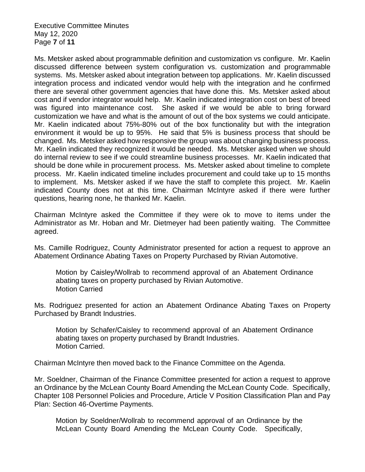Executive Committee Minutes May 12, 2020 Page **7** of **11**

Ms. Metsker asked about programmable definition and customization vs configure. Mr. Kaelin discussed difference between system configuration vs. customization and programmable systems. Ms. Metsker asked about integration between top applications. Mr. Kaelin discussed integration process and indicated vendor would help with the integration and he confirmed there are several other government agencies that have done this. Ms. Metsker asked about cost and if vendor integrator would help. Mr. Kaelin indicated integration cost on best of breed was figured into maintenance cost. She asked if we would be able to bring forward customization we have and what is the amount of out of the box systems we could anticipate. Mr. Kaelin indicated about 75%-80% out of the box functionality but with the integration environment it would be up to 95%. He said that 5% is business process that should be changed. Ms. Metsker asked how responsive the group was about changing business process. Mr. Kaelin indicated they recognized it would be needed. Ms. Metsker asked when we should do internal review to see if we could streamline business processes. Mr. Kaelin indicated that should be done while in procurement process. Ms. Metsker asked about timeline to complete process. Mr. Kaelin indicated timeline includes procurement and could take up to 15 months to implement. Ms. Metsker asked if we have the staff to complete this project. Mr. Kaelin indicated County does not at this time. Chairman McIntyre asked if there were further questions, hearing none, he thanked Mr. Kaelin.

Chairman McIntyre asked the Committee if they were ok to move to items under the Administrator as Mr. Hoban and Mr. Dietmeyer had been patiently waiting. The Committee agreed.

Ms. Camille Rodriguez, County Administrator presented for action a request to approve an Abatement Ordinance Abating Taxes on Property Purchased by Rivian Automotive.

Motion by Caisley/Wollrab to recommend approval of an Abatement Ordinance abating taxes on property purchased by Rivian Automotive. Motion Carried

Ms. Rodriguez presented for action an Abatement Ordinance Abating Taxes on Property Purchased by Brandt Industries.

Motion by Schafer/Caisley to recommend approval of an Abatement Ordinance abating taxes on property purchased by Brandt Industries. Motion Carried.

Chairman McIntyre then moved back to the Finance Committee on the Agenda.

Mr. Soeldner, Chairman of the Finance Committee presented for action a request to approve an Ordinance by the McLean County Board Amending the McLean County Code. Specifically, Chapter 108 Personnel Policies and Procedure, Article V Position Classification Plan and Pay Plan: Section 46-Overtime Payments.

Motion by Soeldner/Wollrab to recommend approval of an Ordinance by the McLean County Board Amending the McLean County Code. Specifically,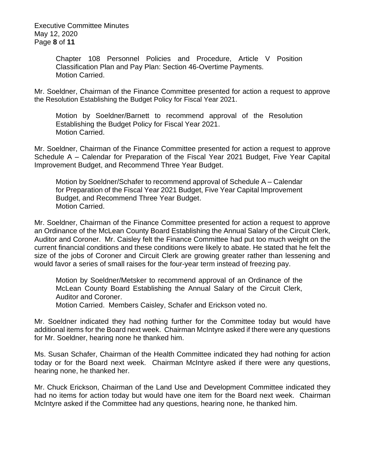Executive Committee Minutes May 12, 2020 Page **8** of **11**

> Chapter 108 Personnel Policies and Procedure, Article V Position Classification Plan and Pay Plan: Section 46-Overtime Payments. Motion Carried.

Mr. Soeldner, Chairman of the Finance Committee presented for action a request to approve the Resolution Establishing the Budget Policy for Fiscal Year 2021.

Motion by Soeldner/Barnett to recommend approval of the Resolution Establishing the Budget Policy for Fiscal Year 2021. Motion Carried.

Mr. Soeldner, Chairman of the Finance Committee presented for action a request to approve Schedule A – Calendar for Preparation of the Fiscal Year 2021 Budget, Five Year Capital Improvement Budget, and Recommend Three Year Budget.

Motion by Soeldner/Schafer to recommend approval of Schedule A – Calendar for Preparation of the Fiscal Year 2021 Budget, Five Year Capital Improvement Budget, and Recommend Three Year Budget. Motion Carried.

Mr. Soeldner, Chairman of the Finance Committee presented for action a request to approve an Ordinance of the McLean County Board Establishing the Annual Salary of the Circuit Clerk, Auditor and Coroner. Mr. Caisley felt the Finance Committee had put too much weight on the current financial conditions and these conditions were likely to abate. He stated that he felt the size of the jobs of Coroner and Circuit Clerk are growing greater rather than lessening and would favor a series of small raises for the four-year term instead of freezing pay.

Motion by Soeldner/Metsker to recommend approval of an Ordinance of the McLean County Board Establishing the Annual Salary of the Circuit Clerk, Auditor and Coroner.

Motion Carried. Members Caisley, Schafer and Erickson voted no.

Mr. Soeldner indicated they had nothing further for the Committee today but would have additional items for the Board next week. Chairman McIntyre asked if there were any questions for Mr. Soeldner, hearing none he thanked him.

Ms. Susan Schafer, Chairman of the Health Committee indicated they had nothing for action today or for the Board next week. Chairman McIntyre asked if there were any questions, hearing none, he thanked her.

Mr. Chuck Erickson, Chairman of the Land Use and Development Committee indicated they had no items for action today but would have one item for the Board next week. Chairman McIntyre asked if the Committee had any questions, hearing none, he thanked him.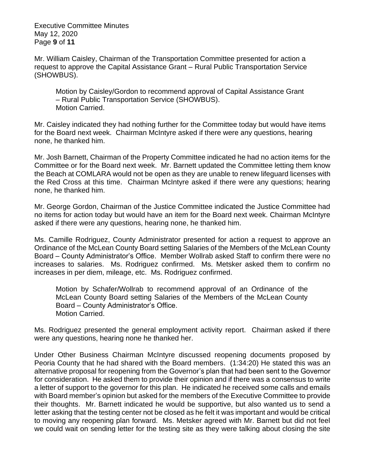Executive Committee Minutes May 12, 2020 Page **9** of **11**

Mr. William Caisley, Chairman of the Transportation Committee presented for action a request to approve the Capital Assistance Grant – Rural Public Transportation Service (SHOWBUS).

Motion by Caisley/Gordon to recommend approval of Capital Assistance Grant – Rural Public Transportation Service (SHOWBUS). Motion Carried.

Mr. Caisley indicated they had nothing further for the Committee today but would have items for the Board next week. Chairman McIntyre asked if there were any questions, hearing none, he thanked him.

Mr. Josh Barnett, Chairman of the Property Committee indicated he had no action items for the Committee or for the Board next week. Mr. Barnett updated the Committee letting them know the Beach at COMLARA would not be open as they are unable to renew lifeguard licenses with the Red Cross at this time. Chairman McIntyre asked if there were any questions; hearing none, he thanked him.

Mr. George Gordon, Chairman of the Justice Committee indicated the Justice Committee had no items for action today but would have an item for the Board next week. Chairman McIntyre asked if there were any questions, hearing none, he thanked him.

Ms. Camille Rodriguez, County Administrator presented for action a request to approve an Ordinance of the McLean County Board setting Salaries of the Members of the McLean County Board – County Administrator's Office. Member Wollrab asked Staff to confirm there were no increases to salaries. Ms. Rodriguez confirmed. Ms. Metsker asked them to confirm no increases in per diem, mileage, etc. Ms. Rodriguez confirmed.

Motion by Schafer/Wollrab to recommend approval of an Ordinance of the McLean County Board setting Salaries of the Members of the McLean County Board – County Administrator's Office. Motion Carried.

Ms. Rodriguez presented the general employment activity report. Chairman asked if there were any questions, hearing none he thanked her.

Under Other Business Chairman McIntyre discussed reopening documents proposed by Peoria County that he had shared with the Board members. (1:34:20) He stated this was an alternative proposal for reopening from the Governor's plan that had been sent to the Governor for consideration. He asked them to provide their opinion and if there was a consensus to write a letter of support to the governor for this plan. He indicated he received some calls and emails with Board member's opinion but asked for the members of the Executive Committee to provide their thoughts. Mr. Barnett indicated he would be supportive, but also wanted us to send a letter asking that the testing center not be closed as he felt it was important and would be critical to moving any reopening plan forward. Ms. Metsker agreed with Mr. Barnett but did not feel we could wait on sending letter for the testing site as they were talking about closing the site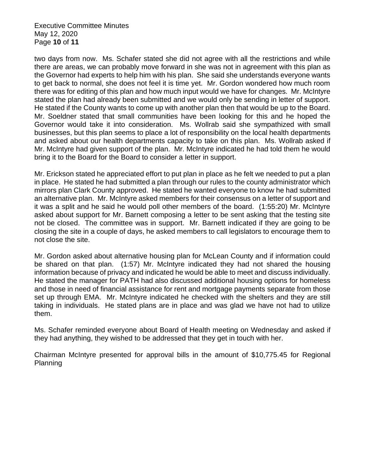Executive Committee Minutes May 12, 2020 Page **10** of **11**

two days from now. Ms. Schafer stated she did not agree with all the restrictions and while there are areas, we can probably move forward in she was not in agreement with this plan as the Governor had experts to help him with his plan. She said she understands everyone wants to get back to normal, she does not feel it is time yet. Mr. Gordon wondered how much room there was for editing of this plan and how much input would we have for changes. Mr. McIntyre stated the plan had already been submitted and we would only be sending in letter of support. He stated if the County wants to come up with another plan then that would be up to the Board. Mr. Soeldner stated that small communities have been looking for this and he hoped the Governor would take it into consideration. Ms. Wollrab said she sympathized with small businesses, but this plan seems to place a lot of responsibility on the local health departments and asked about our health departments capacity to take on this plan. Ms. Wollrab asked if Mr. McIntyre had given support of the plan. Mr. McIntyre indicated he had told them he would bring it to the Board for the Board to consider a letter in support.

Mr. Erickson stated he appreciated effort to put plan in place as he felt we needed to put a plan in place. He stated he had submitted a plan through our rules to the county administrator which mirrors plan Clark County approved. He stated he wanted everyone to know he had submitted an alternative plan. Mr. McIntyre asked members for their consensus on a letter of support and it was a split and he said he would poll other members of the board. (1:55:20) Mr. McIntyre asked about support for Mr. Barnett composing a letter to be sent asking that the testing site not be closed. The committee was in support. Mr. Barnett indicated if they are going to be closing the site in a couple of days, he asked members to call legislators to encourage them to not close the site.

Mr. Gordon asked about alternative housing plan for McLean County and if information could be shared on that plan. (1:57) Mr. McIntyre indicated they had not shared the housing information because of privacy and indicated he would be able to meet and discuss individually. He stated the manager for PATH had also discussed additional housing options for homeless and those in need of financial assistance for rent and mortgage payments separate from those set up through EMA. Mr. McIntyre indicated he checked with the shelters and they are still taking in individuals. He stated plans are in place and was glad we have not had to utilize them.

Ms. Schafer reminded everyone about Board of Health meeting on Wednesday and asked if they had anything, they wished to be addressed that they get in touch with her.

Chairman McIntyre presented for approval bills in the amount of \$10,775.45 for Regional Planning